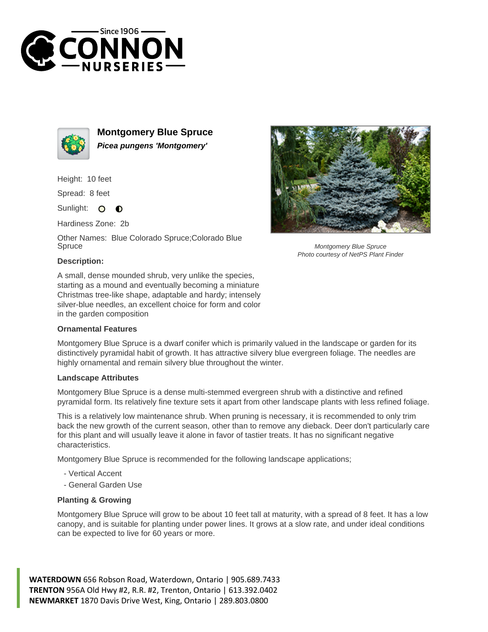



**Montgomery Blue Spruce Picea pungens 'Montgomery'**

Height: 10 feet

Spread: 8 feet

Sunlight: O  $\bullet$ 

Hardiness Zone: 2b

Other Names: Blue Colorado Spruce;Colorado Blue Spruce

## **Description:**

A small, dense mounded shrub, very unlike the species, starting as a mound and eventually becoming a miniature Christmas tree-like shape, adaptable and hardy; intensely silver-blue needles, an excellent choice for form and color in the garden composition

## **Ornamental Features**

Montgomery Blue Spruce is a dwarf conifer which is primarily valued in the landscape or garden for its distinctively pyramidal habit of growth. It has attractive silvery blue evergreen foliage. The needles are highly ornamental and remain silvery blue throughout the winter.

## **Landscape Attributes**

Montgomery Blue Spruce is a dense multi-stemmed evergreen shrub with a distinctive and refined pyramidal form. Its relatively fine texture sets it apart from other landscape plants with less refined foliage.

This is a relatively low maintenance shrub. When pruning is necessary, it is recommended to only trim back the new growth of the current season, other than to remove any dieback. Deer don't particularly care for this plant and will usually leave it alone in favor of tastier treats. It has no significant negative characteristics.

Montgomery Blue Spruce is recommended for the following landscape applications;

- Vertical Accent
- General Garden Use

## **Planting & Growing**

Montgomery Blue Spruce will grow to be about 10 feet tall at maturity, with a spread of 8 feet. It has a low canopy, and is suitable for planting under power lines. It grows at a slow rate, and under ideal conditions can be expected to live for 60 years or more.

**WATERDOWN** 656 Robson Road, Waterdown, Ontario | 905.689.7433 **TRENTON** 956A Old Hwy #2, R.R. #2, Trenton, Ontario | 613.392.0402 **NEWMARKET** 1870 Davis Drive West, King, Ontario | 289.803.0800



Montgomery Blue Spruce Photo courtesy of NetPS Plant Finder